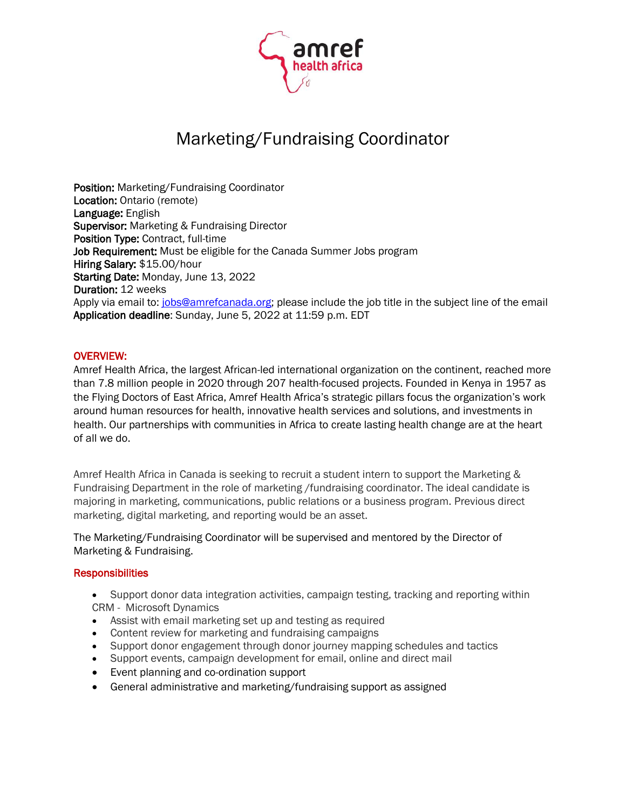

# Marketing/Fundraising Coordinator

Position: Marketing/Fundraising Coordinator Location: Ontario (remote) Language: English **Supervisor:** Marketing & Fundraising Director Position Type: Contract, full-time Job Requirement: Must be eligible for the Canada Summer Jobs program Hiring Salary: \$15.00/hour Starting Date: Monday, June 13, 2022 Duration: 12 weeks Apply via email to: [jobs@amrefcanada.org;](mailto:jobs@amrefcanada.org) please include the job title in the subject line of the email Application deadline: Sunday, June 5, 2022 at 11:59 p.m. EDT

# OVERVIEW:

Amref Health Africa, the largest African-led international organization on the continent, reached more than 7.8 million people in 2020 through 207 health-focused projects. Founded in Kenya in 1957 as the Flying Doctors of East Africa, Amref Health Africa's strategic pillars focus the organization's work around human resources for health, innovative health services and solutions, and investments in health. Our partnerships with communities in Africa to create lasting health change are at the heart of all we do.

Amref Health Africa in Canada is seeking to recruit a student intern to support the Marketing & Fundraising Department in the role of marketing /fundraising coordinator. The ideal candidate is majoring in marketing, communications, public relations or a business program. Previous direct marketing, digital marketing, and reporting would be an asset.

The Marketing/Fundraising Coordinator will be supervised and mentored by the Director of Marketing & Fundraising.

#### **Responsibilities**

- Support donor data integration activities, campaign testing, tracking and reporting within CRM - Microsoft Dynamics
- Assist with email marketing set up and testing as required
- Content review for marketing and fundraising campaigns
- Support donor engagement through donor journey mapping schedules and tactics
- Support events, campaign development for email, online and direct mail
- Event planning and co-ordination support
- General administrative and marketing/fundraising support as assigned